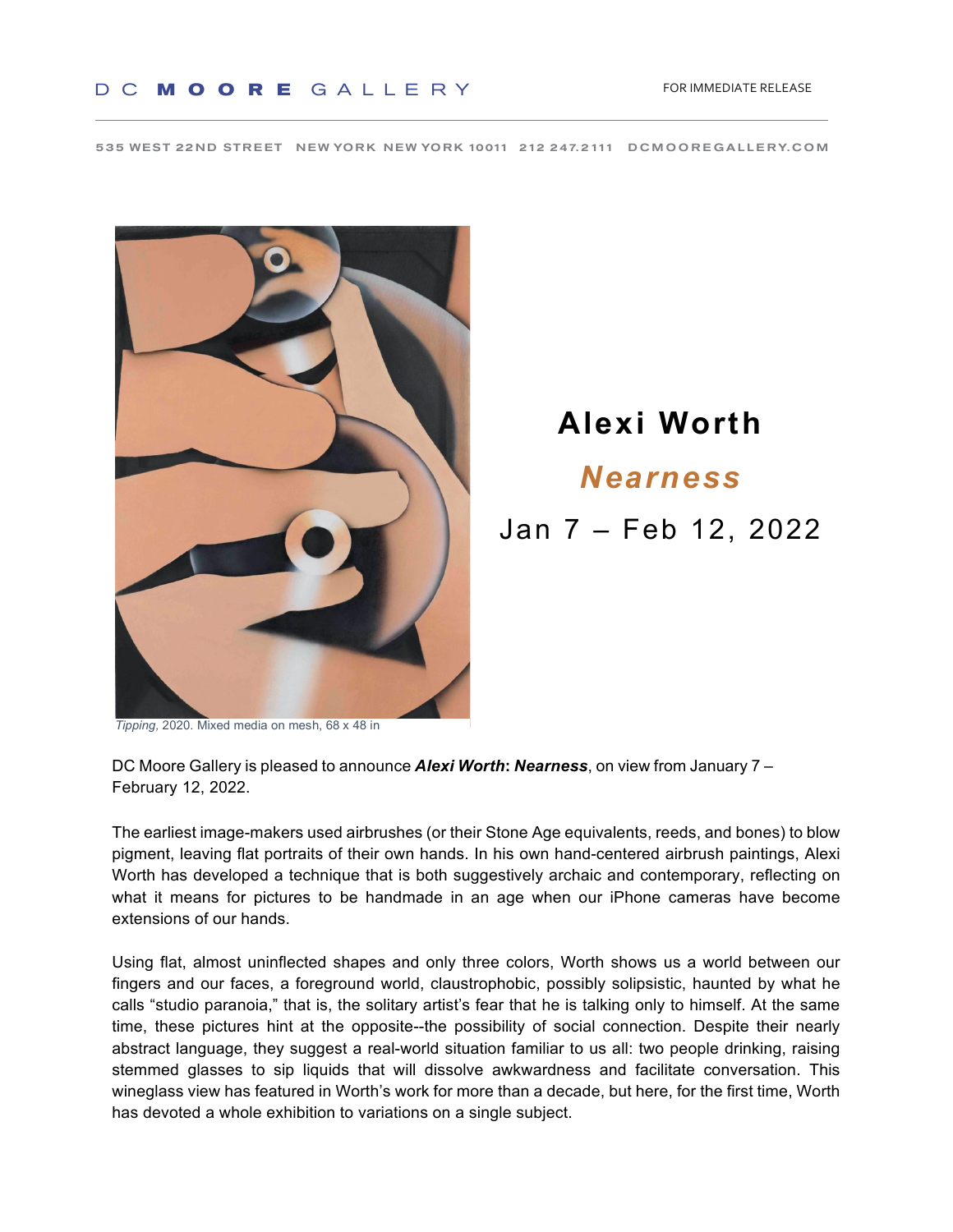535 WEST 22ND STREET NEW YORK NEW YORK 10011 212 247.2111 DCMOOREGALLERY.COM



## **Alexi Worth** *Nearness* Jan 7 – Feb 12, 2022

*Tipping, 2020. Mixed media on mesh, 68 x 48 in* Waterston, however, however, however, however, however, however,

DC Moore Gallery is pleased to announce *Alexi Worth: Nearness*, on view from January 7 -February 12, 2022.

The earliest image-makers used airbrushes (or their Stone Age equivalents, reeds, and bones) to blow pigment, leaving flat portraits of their own hands. In his own hand-centered airbrush paintings, Alexi Worth has developed a technique that is both suggestively archaic and contemporary, reflecting on what it means for pictures to be handmade in an age when our iPhone cameras have become extensions of our hands.<br>
Angeles County Museum of Art Museum, WA; and Museum of Fine Arts, Houston, TX. Waterston, TX. Waterston, TX. W parties calliest image-makers used all prushes (or their storie Age equivalents, reeus, and bones) to blo

Using flat, almost uninflected shapes and only three colors, Worth shows us a world between our fingers and our faces, a foreground world, claustrophobic, possibly solipsistic, haunted by what he calls "studio paranoia," that is, the solitary artist's fear that he is talking only to himself. At the same time, these pictures hint at the opposite--the possibility of social connection. Despite their nearly abstract language, they suggest a real-world situation familiar to us all: two people drinking, raising stemmed glasses to sip liquids that will dissolve awkwardness and facilitate conversation. This wineglass view has featured in Worth's work for more than a decade, but here, for the first time, Worth has devoted a whole exhibition to variations on a single subject. Using flat, almost uninflected shape